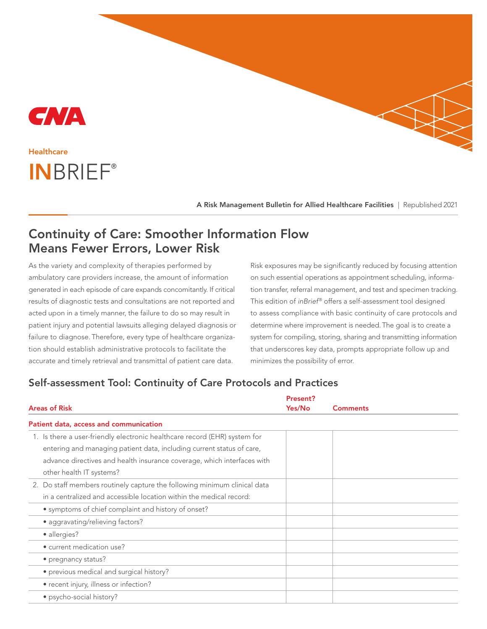

## INBRIEF® **Healthcare**

A Risk Management Bulletin for Allied Healthcare Facilities | Republished 2021

## Continuity of Care: Smoother Information Flow Means Fewer Errors, Lower Risk

As the variety and complexity of therapies performed by ambulatory care providers increase, the amount of information generated in each episode of care expands concomitantly. If critical results of diagnostic tests and consultations are not reported and acted upon in a timely manner, the failure to do so may result in patient injury and potential lawsuits alleging delayed diagnosis or failure to diagnose. Therefore, every type of healthcare organization should establish administrative protocols to facilitate the accurate and timely retrieval and transmittal of patient care data.

Risk exposures may be significantly reduced by focusing attention on such essential operations as appointment scheduling, information transfer, referral management, and test and specimen tracking. This edition of inBrief® offers a self-assessment tool designed to assess compliance with basic continuity of care protocols and determine where improvement is needed. The goal is to create a system for compiling, storing, sharing and transmitting information that underscores key data, prompts appropriate follow up and minimizes the possibility of error.

## Self-assessment Tool: Continuity of Care Protocols and Practices

|                                                                           | Present? |                 |
|---------------------------------------------------------------------------|----------|-----------------|
| <b>Areas of Risk</b>                                                      | Yes/No   | <b>Comments</b> |
| Patient data, access and communication                                    |          |                 |
| 1. Is there a user-friendly electronic healthcare record (EHR) system for |          |                 |
| entering and managing patient data, including current status of care,     |          |                 |
| advance directives and health insurance coverage, which interfaces with   |          |                 |
| other health IT systems?                                                  |          |                 |
| 2. Do staff members routinely capture the following minimum clinical data |          |                 |
| in a centralized and accessible location within the medical record:       |          |                 |
| • symptoms of chief complaint and history of onset?                       |          |                 |
| • aggravating/relieving factors?                                          |          |                 |
| · allergies?                                                              |          |                 |
| · current medication use?                                                 |          |                 |
| • pregnancy status?                                                       |          |                 |
| • previous medical and surgical history?                                  |          |                 |
| • recent injury, illness or infection?                                    |          |                 |
| • psycho-social history?                                                  |          |                 |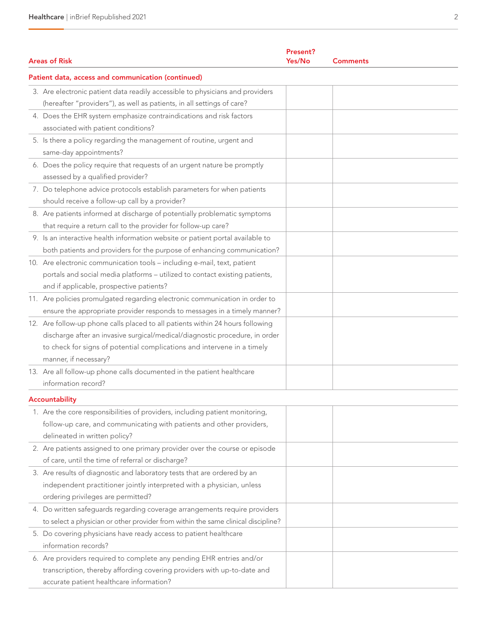| <b>Areas of Risk</b>                                                              | Present?<br>Yes/No | <b>Comments</b> |  |  |
|-----------------------------------------------------------------------------------|--------------------|-----------------|--|--|
| Patient data, access and communication (continued)                                |                    |                 |  |  |
| 3. Are electronic patient data readily accessible to physicians and providers     |                    |                 |  |  |
| (hereafter "providers"), as well as patients, in all settings of care?            |                    |                 |  |  |
| 4. Does the EHR system emphasize contraindications and risk factors               |                    |                 |  |  |
| associated with patient conditions?                                               |                    |                 |  |  |
| 5. Is there a policy regarding the management of routine, urgent and              |                    |                 |  |  |
| same-day appointments?                                                            |                    |                 |  |  |
| 6. Does the policy require that requests of an urgent nature be promptly          |                    |                 |  |  |
| assessed by a qualified provider?                                                 |                    |                 |  |  |
| 7. Do telephone advice protocols establish parameters for when patients           |                    |                 |  |  |
| should receive a follow-up call by a provider?                                    |                    |                 |  |  |
| 8. Are patients informed at discharge of potentially problematic symptoms         |                    |                 |  |  |
| that require a return call to the provider for follow-up care?                    |                    |                 |  |  |
| 9. Is an interactive health information website or patient portal available to    |                    |                 |  |  |
| both patients and providers for the purpose of enhancing communication?           |                    |                 |  |  |
| 10. Are electronic communication tools - including e-mail, text, patient          |                    |                 |  |  |
| portals and social media platforms - utilized to contact existing patients,       |                    |                 |  |  |
| and if applicable, prospective patients?                                          |                    |                 |  |  |
| 11. Are policies promulgated regarding electronic communication in order to       |                    |                 |  |  |
| ensure the appropriate provider responds to messages in a timely manner?          |                    |                 |  |  |
| 12. Are follow-up phone calls placed to all patients within 24 hours following    |                    |                 |  |  |
| discharge after an invasive surgical/medical/diagnostic procedure, in order       |                    |                 |  |  |
| to check for signs of potential complications and intervene in a timely           |                    |                 |  |  |
| manner, if necessary?                                                             |                    |                 |  |  |
| 13. Are all follow-up phone calls documented in the patient healthcare            |                    |                 |  |  |
| information record?                                                               |                    |                 |  |  |
| Accountability                                                                    |                    |                 |  |  |
| 1. Are the core responsibilities of providers, including patient monitoring,      |                    |                 |  |  |
| follow-up care, and communicating with patients and other providers,              |                    |                 |  |  |
| delineated in written policy?                                                     |                    |                 |  |  |
| 2. Are patients assigned to one primary provider over the course or episode       |                    |                 |  |  |
| of care, until the time of referral or discharge?                                 |                    |                 |  |  |
| 3. Are results of diagnostic and laboratory tests that are ordered by an          |                    |                 |  |  |
| independent practitioner jointly interpreted with a physician, unless             |                    |                 |  |  |
| ordering privileges are permitted?                                                |                    |                 |  |  |
| 4. Do written safeguards regarding coverage arrangements require providers        |                    |                 |  |  |
| to select a physician or other provider from within the same clinical discipline? |                    |                 |  |  |
| 5. Do covering physicians have ready access to patient healthcare                 |                    |                 |  |  |
| information records?                                                              |                    |                 |  |  |
| 6. Are providers required to complete any pending EHR entries and/or              |                    |                 |  |  |
| transcription, thereby affording covering providers with up-to-date and           |                    |                 |  |  |
| accurate patient healthcare information?                                          |                    |                 |  |  |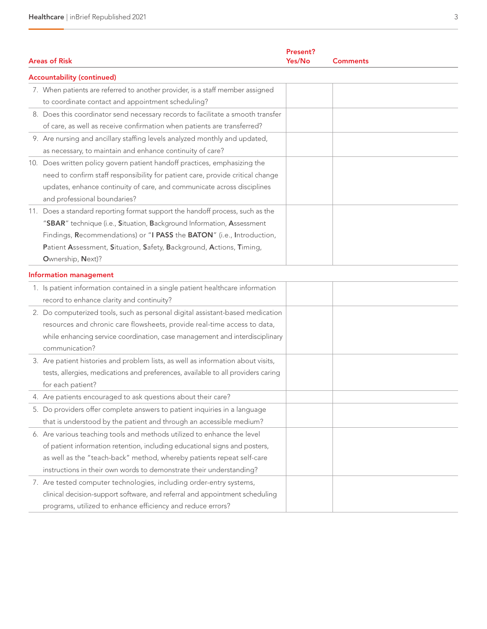|  |                                                                                  | Present? |                 |  |  |
|--|----------------------------------------------------------------------------------|----------|-----------------|--|--|
|  | <b>Areas of Risk</b>                                                             | Yes/No   | <b>Comments</b> |  |  |
|  | <b>Accountability (continued)</b>                                                |          |                 |  |  |
|  | 7. When patients are referred to another provider, is a staff member assigned    |          |                 |  |  |
|  | to coordinate contact and appointment scheduling?                                |          |                 |  |  |
|  | 8. Does this coordinator send necessary records to facilitate a smooth transfer  |          |                 |  |  |
|  | of care, as well as receive confirmation when patients are transferred?          |          |                 |  |  |
|  | 9. Are nursing and ancillary staffing levels analyzed monthly and updated,       |          |                 |  |  |
|  | as necessary, to maintain and enhance continuity of care?                        |          |                 |  |  |
|  | 10. Does written policy govern patient handoff practices, emphasizing the        |          |                 |  |  |
|  | need to confirm staff responsibility for patient care, provide critical change   |          |                 |  |  |
|  | updates, enhance continuity of care, and communicate across disciplines          |          |                 |  |  |
|  | and professional boundaries?                                                     |          |                 |  |  |
|  | 11. Does a standard reporting format support the handoff process, such as the    |          |                 |  |  |
|  | "SBAR" technique (i.e., Situation, Background Information, Assessment            |          |                 |  |  |
|  | Findings, Recommendations) or "I PASS the BATON" (i.e., Introduction,            |          |                 |  |  |
|  | Patient Assessment, Situation, Safety, Background, Actions, Timing,              |          |                 |  |  |
|  | Ownership, Next)?                                                                |          |                 |  |  |
|  | <b>Information management</b>                                                    |          |                 |  |  |
|  | 1. Is patient information contained in a single patient healthcare information   |          |                 |  |  |
|  | record to enhance clarity and continuity?                                        |          |                 |  |  |
|  | 2. Do computerized tools, such as personal digital assistant-based medication    |          |                 |  |  |
|  | resources and chronic care flowsheets, provide real-time access to data,         |          |                 |  |  |
|  | while enhancing service coordination, case management and interdisciplinary      |          |                 |  |  |
|  | communication?                                                                   |          |                 |  |  |
|  | 3. Are patient histories and problem lists, as well as information about visits, |          |                 |  |  |
|  | tests, allergies, medications and preferences, available to all providers caring |          |                 |  |  |
|  | for each patient?                                                                |          |                 |  |  |
|  | 4. Are patients encouraged to ask questions about their care?                    |          |                 |  |  |
|  | 5. Do providers offer complete answers to patient inquiries in a language        |          |                 |  |  |
|  | that is understood by the patient and through an accessible medium?              |          |                 |  |  |
|  | 6. Are various teaching tools and methods utilized to enhance the level          |          |                 |  |  |
|  | of patient information retention, including educational signs and posters,       |          |                 |  |  |
|  | as well as the "teach-back" method, whereby patients repeat self-care            |          |                 |  |  |
|  | instructions in their own words to demonstrate their understanding?              |          |                 |  |  |
|  | 7. Are tested computer technologies, including order-entry systems,              |          |                 |  |  |
|  | clinical decision-support software, and referral and appointment scheduling      |          |                 |  |  |
|  | programs, utilized to enhance efficiency and reduce errors?                      |          |                 |  |  |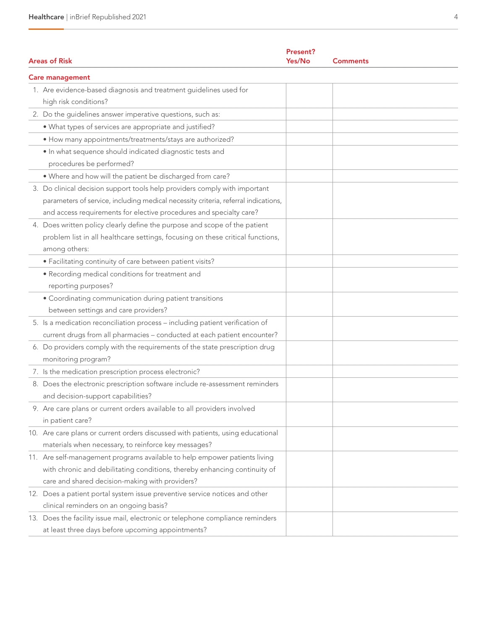| <b>Areas of Risk</b>                                                                                                                                                                                                                    | <b>Present?</b><br>Yes/No | <b>Comments</b> |  |  |  |
|-----------------------------------------------------------------------------------------------------------------------------------------------------------------------------------------------------------------------------------------|---------------------------|-----------------|--|--|--|
| <b>Care management</b>                                                                                                                                                                                                                  |                           |                 |  |  |  |
| 1. Are evidence-based diagnosis and treatment guidelines used for<br>high risk conditions?                                                                                                                                              |                           |                 |  |  |  |
| 2. Do the guidelines answer imperative questions, such as:                                                                                                                                                                              |                           |                 |  |  |  |
| . What types of services are appropriate and justified?                                                                                                                                                                                 |                           |                 |  |  |  |
| • How many appointments/treatments/stays are authorized?                                                                                                                                                                                |                           |                 |  |  |  |
| · In what sequence should indicated diagnostic tests and<br>procedures be performed?                                                                                                                                                    |                           |                 |  |  |  |
| . Where and how will the patient be discharged from care?                                                                                                                                                                               |                           |                 |  |  |  |
| 3. Do clinical decision support tools help providers comply with important<br>parameters of service, including medical necessity criteria, referral indications,<br>and access requirements for elective procedures and specialty care? |                           |                 |  |  |  |
| 4. Does written policy clearly define the purpose and scope of the patient<br>problem list in all healthcare settings, focusing on these critical functions,<br>among others:                                                           |                           |                 |  |  |  |
| • Facilitating continuity of care between patient visits?                                                                                                                                                                               |                           |                 |  |  |  |
| • Recording medical conditions for treatment and<br>reporting purposes?                                                                                                                                                                 |                           |                 |  |  |  |
| • Coordinating communication during patient transitions<br>between settings and care providers?                                                                                                                                         |                           |                 |  |  |  |
| 5. Is a medication reconciliation process - including patient verification of<br>current drugs from all pharmacies - conducted at each patient encounter?                                                                               |                           |                 |  |  |  |
| 6. Do providers comply with the requirements of the state prescription drug<br>monitoring program?                                                                                                                                      |                           |                 |  |  |  |
| 7. Is the medication prescription process electronic?                                                                                                                                                                                   |                           |                 |  |  |  |
| 8. Does the electronic prescription software include re-assessment reminders<br>and decision-support capabilities?                                                                                                                      |                           |                 |  |  |  |
| 9. Are care plans or current orders available to all providers involved<br>in patient care?                                                                                                                                             |                           |                 |  |  |  |
| 10. Are care plans or current orders discussed with patients, using educational<br>materials when necessary, to reinforce key messages?                                                                                                 |                           |                 |  |  |  |
| 11. Are self-management programs available to help empower patients living<br>with chronic and debilitating conditions, thereby enhancing continuity of<br>care and shared decision-making with providers?                              |                           |                 |  |  |  |
| 12. Does a patient portal system issue preventive service notices and other<br>clinical reminders on an ongoing basis?                                                                                                                  |                           |                 |  |  |  |
| 13. Does the facility issue mail, electronic or telephone compliance reminders<br>at least three days before upcoming appointments?                                                                                                     |                           |                 |  |  |  |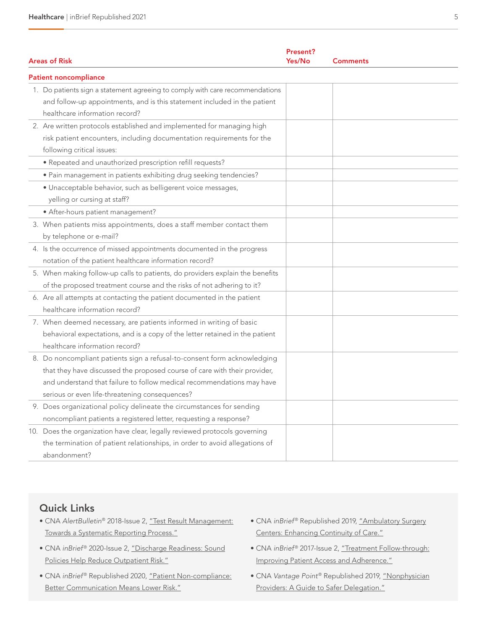| <b>Areas of Risk</b>                                                                                                                                                                                                                                                              | Present?<br>Yes/No | <b>Comments</b> |  |  |  |
|-----------------------------------------------------------------------------------------------------------------------------------------------------------------------------------------------------------------------------------------------------------------------------------|--------------------|-----------------|--|--|--|
| <b>Patient noncompliance</b>                                                                                                                                                                                                                                                      |                    |                 |  |  |  |
| 1. Do patients sign a statement agreeing to comply with care recommendations<br>and follow-up appointments, and is this statement included in the patient<br>healthcare information record?                                                                                       |                    |                 |  |  |  |
| 2. Are written protocols established and implemented for managing high<br>risk patient encounters, including documentation requirements for the<br>following critical issues:                                                                                                     |                    |                 |  |  |  |
| • Repeated and unauthorized prescription refill requests?                                                                                                                                                                                                                         |                    |                 |  |  |  |
| · Pain management in patients exhibiting drug seeking tendencies?                                                                                                                                                                                                                 |                    |                 |  |  |  |
| · Unacceptable behavior, such as belligerent voice messages,<br>yelling or cursing at staff?                                                                                                                                                                                      |                    |                 |  |  |  |
| • After-hours patient management?                                                                                                                                                                                                                                                 |                    |                 |  |  |  |
| 3. When patients miss appointments, does a staff member contact them<br>by telephone or e-mail?                                                                                                                                                                                   |                    |                 |  |  |  |
| 4. Is the occurrence of missed appointments documented in the progress<br>notation of the patient healthcare information record?                                                                                                                                                  |                    |                 |  |  |  |
| 5. When making follow-up calls to patients, do providers explain the benefits<br>of the proposed treatment course and the risks of not adhering to it?                                                                                                                            |                    |                 |  |  |  |
| 6. Are all attempts at contacting the patient documented in the patient<br>healthcare information record?                                                                                                                                                                         |                    |                 |  |  |  |
| 7. When deemed necessary, are patients informed in writing of basic<br>behavioral expectations, and is a copy of the letter retained in the patient<br>healthcare information record?                                                                                             |                    |                 |  |  |  |
| 8. Do noncompliant patients sign a refusal-to-consent form acknowledging<br>that they have discussed the proposed course of care with their provider,<br>and understand that failure to follow medical recommendations may have<br>serious or even life-threatening consequences? |                    |                 |  |  |  |
| 9. Does organizational policy delineate the circumstances for sending<br>noncompliant patients a registered letter, requesting a response?                                                                                                                                        |                    |                 |  |  |  |
| 10. Does the organization have clear, legally reviewed protocols governing<br>the termination of patient relationships, in order to avoid allegations of<br>abandonment?                                                                                                          |                    |                 |  |  |  |

## Quick Links

- CNA AlertBulletin® 2018-Issue 2, ["Test Result Management:](https://www.cna.com/web/wcm/connect/993bee82-d5d7-4d1f-b57c-14f8e065cb3b/AlertBulletin-Test-Result-Management.pdf?MOD=AJPERES&CACHEID=993bee82-d5d7-4d1f-b57c-14f8e065cb3b) [Towards a Systematic Reporting Process."](https://www.cna.com/web/wcm/connect/993bee82-d5d7-4d1f-b57c-14f8e065cb3b/AlertBulletin-Test-Result-Management.pdf?MOD=AJPERES&CACHEID=993bee82-d5d7-4d1f-b57c-14f8e065cb3b)
- CNA inBrief® 2020-Issue 2, ["Discharge Readiness: Sound](https://www.cna.com/web/wcm/connect/0c9e0ae4-62cd-4a67-acff-80f223ef8acb/Discharge-Readiness.pdf?MOD=AJPERES&CACHEID=0c9e0ae4-62cd-4a67-acff-80f223ef8acb) [Policies Help Reduce Outpatient Risk."](https://www.cna.com/web/wcm/connect/0c9e0ae4-62cd-4a67-acff-80f223ef8acb/Discharge-Readiness.pdf?MOD=AJPERES&CACHEID=0c9e0ae4-62cd-4a67-acff-80f223ef8acb)
- CNA inBrief® Republished 2020, ["Patient Non-compliance:](https://www.cna.com/web/wcm/connect/79c8b18a-566e-492a-bb52-b25efd95698f/IB-Patient-Noncompliance.pdf?MOD=AJPERES&CACHEID=79c8b18a-566e-492a-bb52-b25efd95698f) [Better Communication Means Lower Risk."](https://www.cna.com/web/wcm/connect/79c8b18a-566e-492a-bb52-b25efd95698f/IB-Patient-Noncompliance.pdf?MOD=AJPERES&CACHEID=79c8b18a-566e-492a-bb52-b25efd95698f)
- CNA inBrief® Republished 2019, ["Ambulatory Surgery](https://www.cna.com/web/wcm/connect/9b7b56bf-26bf-44c3-b528-13c89269cfa1/CNA-InBrief-Ambulatory-Surgery-Centers-Enhancing-Continuity-of-Care.pdf?MOD=AJPERES) [Centers: Enhancing Continuity of Care."](https://www.cna.com/web/wcm/connect/9b7b56bf-26bf-44c3-b528-13c89269cfa1/CNA-InBrief-Ambulatory-Surgery-Centers-Enhancing-Continuity-of-Care.pdf?MOD=AJPERES)
- CNA inBrief® 2017-Issue 2, ["Treatment Follow-through:](https://www.cna.com/web/wcm/connect/ab23d02b-7f2d-452f-bb32-a609edf123eb/RC_Healthcare-inBrief-Issue2-2017-CNA.pdf?MOD=AJPERES&CACHEID=ab23d02b-7f2d-452f-bb32-a609edf123eb) [Improving Patient Access and Adherence."](https://www.cna.com/web/wcm/connect/ab23d02b-7f2d-452f-bb32-a609edf123eb/RC_Healthcare-inBrief-Issue2-2017-CNA.pdf?MOD=AJPERES&CACHEID=ab23d02b-7f2d-452f-bb32-a609edf123eb)
- CNA Vantage Point® Republished 2019, ["Nonphysician](https://www.cna.com/web/wcm/connect/5c267851-cb0f-46b0-bb0a-d51668af3496/CNA-Vantage-Point-Nonphysician-Providers-A-Guide-to-Safer-Delegation.pdf?MOD=AJPERES) [Providers: A Guide to Safer Delegation."](https://www.cna.com/web/wcm/connect/5c267851-cb0f-46b0-bb0a-d51668af3496/CNA-Vantage-Point-Nonphysician-Providers-A-Guide-to-Safer-Delegation.pdf?MOD=AJPERES)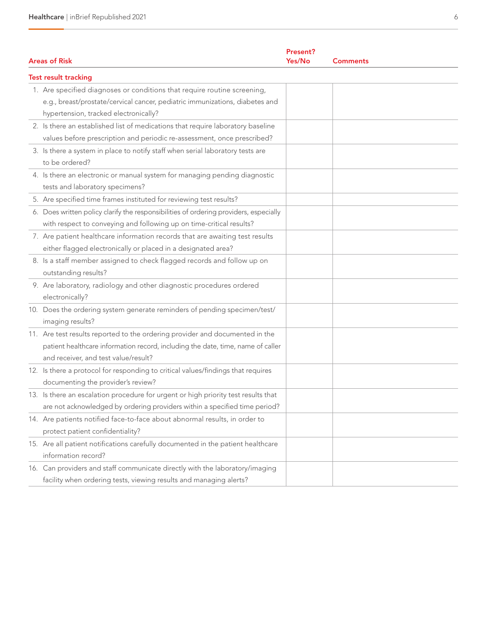| <b>Areas of Risk</b>                                                                                                                                                                                    | Present?<br>Yes/No | <b>Comments</b> |  |  |  |
|---------------------------------------------------------------------------------------------------------------------------------------------------------------------------------------------------------|--------------------|-----------------|--|--|--|
| <b>Test result tracking</b>                                                                                                                                                                             |                    |                 |  |  |  |
| 1. Are specified diagnoses or conditions that require routine screening,<br>e.g., breast/prostate/cervical cancer, pediatric immunizations, diabetes and<br>hypertension, tracked electronically?       |                    |                 |  |  |  |
| 2. Is there an established list of medications that require laboratory baseline<br>values before prescription and periodic re-assessment, once prescribed?                                              |                    |                 |  |  |  |
| 3. Is there a system in place to notify staff when serial laboratory tests are<br>to be ordered?                                                                                                        |                    |                 |  |  |  |
| 4. Is there an electronic or manual system for managing pending diagnostic<br>tests and laboratory specimens?                                                                                           |                    |                 |  |  |  |
| 5. Are specified time frames instituted for reviewing test results?                                                                                                                                     |                    |                 |  |  |  |
| 6. Does written policy clarify the responsibilities of ordering providers, especially<br>with respect to conveying and following up on time-critical results?                                           |                    |                 |  |  |  |
| 7. Are patient healthcare information records that are awaiting test results<br>either flagged electronically or placed in a designated area?                                                           |                    |                 |  |  |  |
| 8. Is a staff member assigned to check flagged records and follow up on<br>outstanding results?                                                                                                         |                    |                 |  |  |  |
| 9. Are laboratory, radiology and other diagnostic procedures ordered<br>electronically?                                                                                                                 |                    |                 |  |  |  |
| 10. Does the ordering system generate reminders of pending specimen/test/<br>imaging results?                                                                                                           |                    |                 |  |  |  |
| 11. Are test results reported to the ordering provider and documented in the<br>patient healthcare information record, including the date, time, name of caller<br>and receiver, and test value/result? |                    |                 |  |  |  |
| 12. Is there a protocol for responding to critical values/findings that requires<br>documenting the provider's review?                                                                                  |                    |                 |  |  |  |
| 13. Is there an escalation procedure for urgent or high priority test results that<br>are not acknowledged by ordering providers within a specified time period?                                        |                    |                 |  |  |  |
| 14. Are patients notified face-to-face about abnormal results, in order to<br>protect patient confidentiality?                                                                                          |                    |                 |  |  |  |
| 15. Are all patient notifications carefully documented in the patient healthcare<br>information record?                                                                                                 |                    |                 |  |  |  |
| 16. Can providers and staff communicate directly with the laboratory/imaging<br>facility when ordering tests, viewing results and managing alerts?                                                      |                    |                 |  |  |  |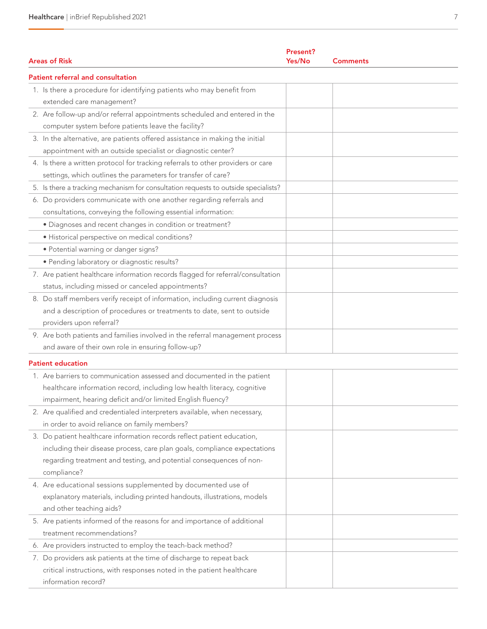| <b>Areas of Risk</b>                                                               | Present?<br>Yes/No | <b>Comments</b> |  |  |
|------------------------------------------------------------------------------------|--------------------|-----------------|--|--|
| <b>Patient referral and consultation</b>                                           |                    |                 |  |  |
| 1. Is there a procedure for identifying patients who may benefit from              |                    |                 |  |  |
| extended care management?                                                          |                    |                 |  |  |
| 2. Are follow-up and/or referral appointments scheduled and entered in the         |                    |                 |  |  |
| computer system before patients leave the facility?                                |                    |                 |  |  |
| 3. In the alternative, are patients offered assistance in making the initial       |                    |                 |  |  |
| appointment with an outside specialist or diagnostic center?                       |                    |                 |  |  |
| 4. Is there a written protocol for tracking referrals to other providers or care   |                    |                 |  |  |
| settings, which outlines the parameters for transfer of care?                      |                    |                 |  |  |
| 5. Is there a tracking mechanism for consultation requests to outside specialists? |                    |                 |  |  |
| 6. Do providers communicate with one another regarding referrals and               |                    |                 |  |  |
| consultations, conveying the following essential information:                      |                    |                 |  |  |
| · Diagnoses and recent changes in condition or treatment?                          |                    |                 |  |  |
| · Historical perspective on medical conditions?                                    |                    |                 |  |  |
| · Potential warning or danger signs?                                               |                    |                 |  |  |
| · Pending laboratory or diagnostic results?                                        |                    |                 |  |  |
| 7. Are patient healthcare information records flagged for referral/consultation    |                    |                 |  |  |
| status, including missed or canceled appointments?                                 |                    |                 |  |  |
| 8. Do staff members verify receipt of information, including current diagnosis     |                    |                 |  |  |
| and a description of procedures or treatments to date, sent to outside             |                    |                 |  |  |
| providers upon referral?                                                           |                    |                 |  |  |
| 9. Are both patients and families involved in the referral management process      |                    |                 |  |  |
| and aware of their own role in ensuring follow-up?                                 |                    |                 |  |  |
| <b>Patient education</b>                                                           |                    |                 |  |  |
| 1. Are barriers to communication assessed and documented in the patient            |                    |                 |  |  |
| healthcare information record, including low health literacy, cognitive            |                    |                 |  |  |
| impairment, hearing deficit and/or limited English fluency?                        |                    |                 |  |  |
| 2. Are qualified and credentialed interpreters available, when necessary,          |                    |                 |  |  |
| in order to avoid reliance on family members?                                      |                    |                 |  |  |
| 3. Do patient healthcare information records reflect patient education,            |                    |                 |  |  |
| including their disease process, care plan goals, compliance expectations          |                    |                 |  |  |
| regarding treatment and testing, and potential consequences of non-                |                    |                 |  |  |
| compliance?                                                                        |                    |                 |  |  |
| 4. Are educational sessions supplemented by documented use of                      |                    |                 |  |  |
| explanatory materials, including printed handouts, illustrations, models           |                    |                 |  |  |
| and other teaching aids?                                                           |                    |                 |  |  |
| 5. Are patients informed of the reasons for and importance of additional           |                    |                 |  |  |
| treatment recommendations?                                                         |                    |                 |  |  |
| 6. Are providers instructed to employ the teach-back method?                       |                    |                 |  |  |
| 7. Do providers ask patients at the time of discharge to repeat back               |                    |                 |  |  |
| critical instructions, with responses noted in the patient healthcare              |                    |                 |  |  |
| information record?                                                                |                    |                 |  |  |